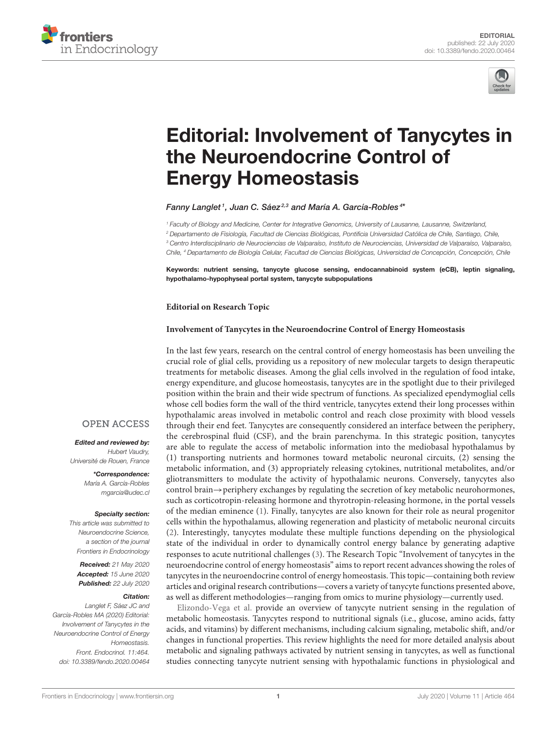



# [Editorial: Involvement of Tanycytes in](https://www.frontiersin.org/articles/10.3389/fendo.2020.00464/full) the Neuroendocrine Control of Energy Homeostasis

[Fanny Langlet](http://loop.frontiersin.org/people/577561/overview)1, Juan C. Sáez<sup>2,3</sup> and [María A. García-Robles](http://loop.frontiersin.org/people/15406/overview)<sup>4</sup>\*

<sup>1</sup> Faculty of Biology and Medicine, Center for Integrative Genomics, University of Lausanne, Lausanne, Switzerland, <sup>2</sup> Departamento de Fisiología, Facultad de Ciencias Biológicas, Pontificia Universidad Católica de Chile, Santiago, Chile, <sup>3</sup> Centro Interdisciplinario de Neurociencias de Valparaíso, Instituto de Neurociencias, Universidad de Valparaíso, Valparaíso, Chile, <sup>4</sup> Departamento de Biología Celular, Facultad de Ciencias Biológicas, Universidad de Concepción, Concepción, Chile

Keywords: nutrient sensing, tanycyte glucose sensing, endocannabinoid system (eCB), leptin signaling, hypothalamo-hypophyseal portal system, tanycyte subpopulations

#### **Editorial on Research Topic**

#### **[Involvement of Tanycytes in the Neuroendocrine Control of Energy Homeostasis](https://www.frontiersin.org/research-topics/8243/involvement-of-tanycytes-in-the-neuroendocrine-control-of-energy-homeostasis)**

In the last few years, research on the central control of energy homeostasis has been unveiling the crucial role of glial cells, providing us a repository of new molecular targets to design therapeutic treatments for metabolic diseases. Among the glial cells involved in the regulation of food intake, energy expenditure, and glucose homeostasis, tanycytes are in the spotlight due to their privileged position within the brain and their wide spectrum of functions. As specialized ependymoglial cells whose cell bodies form the wall of the third ventricle, tanycytes extend their long processes within hypothalamic areas involved in metabolic control and reach close proximity with blood vessels through their end feet. Tanycytes are consequently considered an interface between the periphery, the cerebrospinal fluid (CSF), and the brain parenchyma. In this strategic position, tanycytes are able to regulate the access of metabolic information into the mediobasal hypothalamus by (1) transporting nutrients and hormones toward metabolic neuronal circuits, (2) sensing the metabolic information, and (3) appropriately releasing cytokines, nutritional metabolites, and/or gliotransmitters to modulate the activity of hypothalamic neurons. Conversely, tanycytes also control brain→periphery exchanges by regulating the secretion of key metabolic neurohormones, such as corticotropin-releasing hormone and thyrotropin-releasing hormone, in the portal vessels of the median eminence [\(1\)](#page-1-0). Finally, tanycytes are also known for their role as neural progenitor cells within the hypothalamus, allowing regeneration and plasticity of metabolic neuronal circuits [\(2\)](#page-1-1). Interestingly, tanycytes modulate these multiple functions depending on the physiological state of the individual in order to dynamically control energy balance by generating adaptive responses to acute nutritional challenges [\(3\)](#page-1-2). The Research Topic "Involvement of tanycytes in the neuroendocrine control of energy homeostasis" aims to report recent advances showing the roles of tanycytes in the neuroendocrine control of energy homeostasis. This topic—containing both review articles and original research contributions—covers a variety of tanycyte functions presented above, as well as different methodologies—ranging from omics to murine physiology—currently used.

[Elizondo-Vega et al.](https://doi.org/10.3389/fendo.2019.00244) provide an overview of tanycyte nutrient sensing in the regulation of metabolic homeostasis. Tanycytes respond to nutritional signals (i.e., glucose, amino acids, fatty acids, and vitamins) by different mechanisms, including calcium signaling, metabolic shift, and/or changes in functional properties. This review highlights the need for more detailed analysis about metabolic and signaling pathways activated by nutrient sensing in tanycytes, as well as functional studies connecting tanycyte nutrient sensing with hypothalamic functions in physiological and

#### **OPEN ACCESS**

Edited and reviewed by: Hubert Vaudry, Université de Rouen, France

> \*Correspondence: María A. García-Robles [mgarcia@udec.cl](mailto:mgarcia@udec.cl)

## Specialty section:

This article was submitted to Neuroendocrine Science, a section of the journal Frontiers in Endocrinology

**Received:** 21 May 2020 Accepted: 15 June 2020 Published: 22 July 2020

### Citation:

Langlet F, Sáez JC and García-Robles MA (2020) Editorial: Involvement of Tanycytes in the Neuroendocrine Control of Energy Homeostasis. Front. Endocrinol. 11:464. doi: [10.3389/fendo.2020.00464](https://doi.org/10.3389/fendo.2020.00464)